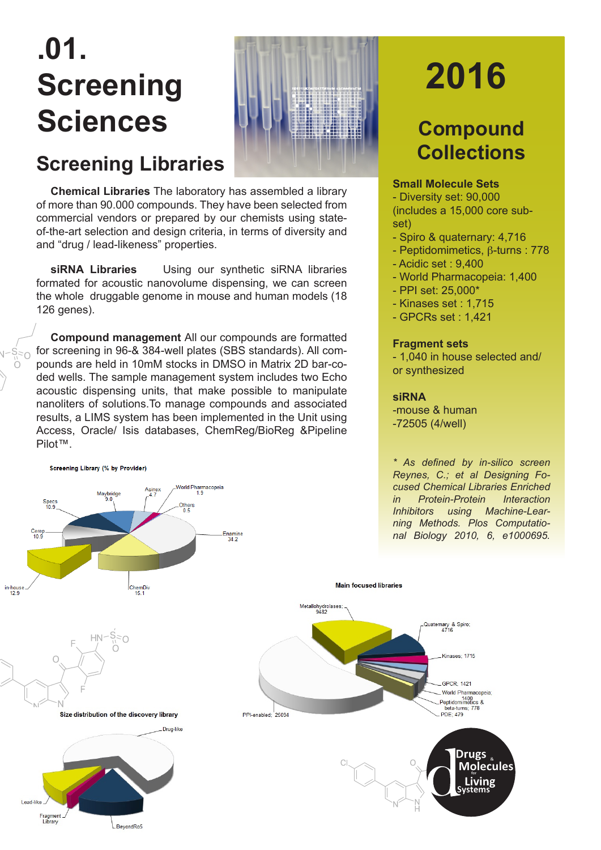## **.01. Screening**  Sciences **WULLER Compound**



## **Screening Libraries**

**Chemical Libraries** The laboratory has assembled a library of more than 90.000 compounds. They have been selected from commercial vendors or prepared by our chemists using stateof-the-art selection and design criteria, in terms of diversity and and "drug / lead-likeness" properties.

**siRNA Libraries** Using our synthetic siRNA libraries formated for acoustic nanovolume dispensing, we can screen the whole druggable genome in mouse and human models (18 126 genes).

**Compound management** All our compounds are formatted for screening in 96-& 384-well plates (SBS standards). All compounds are held in 10mM stocks in DMSO in Matrix 2D bar-coded wells. The sample management system includes two Echo acoustic dispensing units, that make possible to manipulate nanoliters of solutions.To manage compounds and associated results, a LIMS system has been implemented in the Unit using Access, Oracle/ Isis databases, ChemReg/BioReg &Pipeline Pilot™.







**2016**

# **Collections**

### **Small Molecule Sets**

- Diversity set: 90,000 (includes a 15,000 core subset)

- Spiro & quaternary: 4,716
- Peptidomimetics, β-turns : 778
- Acidic set : 9,400
- World Pharmacopeia: 1,400
- PPI set: 25,000\*
- Kinases set : 1,715
- GPCRs set : 1,421

#### **Fragment sets**

- 1,040 in house selected and/ or synthesized

#### **siRNA**

-mouse & human -72505 (4/well)

*\* As defined by in-silico screen Reynes, C.; et al Designing Focused Chemical Libraries Enriched in Protein-Protein Interaction Inhibitors using Machine-Learning Methods. Plos Computational Biology 2010, 6, e1000695.*



Main focused libraries